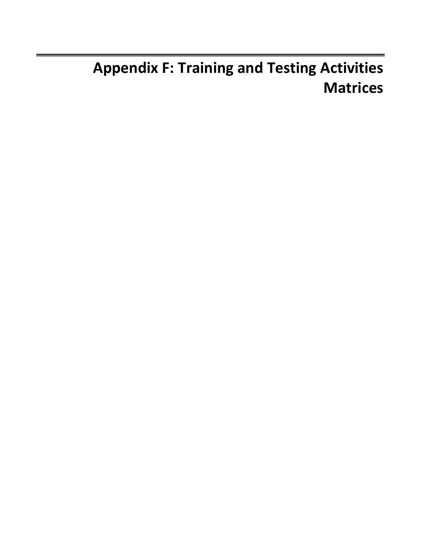# **Appendix F: Training and Testing Activities Matrices**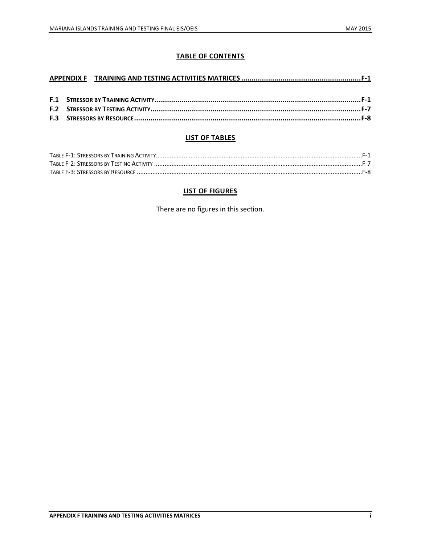#### **TABLE OF CONTENTS**

|--|

#### **LIST OF TABLES**

#### **LIST OF FIGURES**

There are no figures in this section.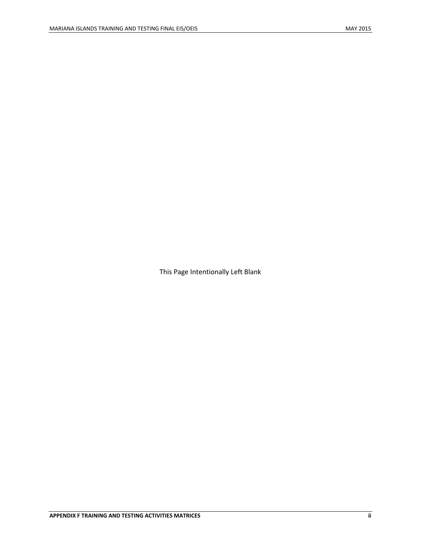This Page Intentionally Left Blank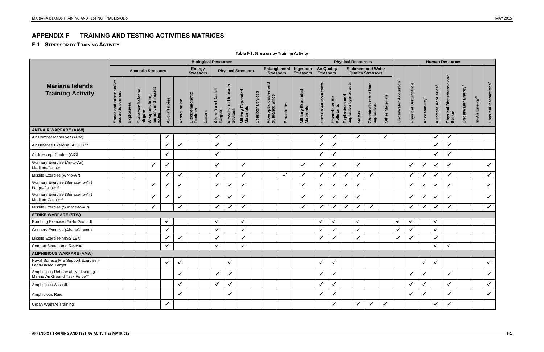## <span id="page-4-0"></span>**APPENDIX F TRAINING AND TESTING ACTIVITIES MATRICES**

### <span id="page-4-1"></span>**F.1 STRESSOR BY TRAINING ACTIVITY**

<span id="page-4-2"></span>

|                                                                      |                                                 |            |                                                                               |                |              |                                   |        | <b>Biological Resources</b>    |                                 |                                |                         |                                                    |              |                                |                                        |                                    | <b>Physical Resources</b>              |               |                                                       |                        |                              |                                   |                            |                                       | <b>Human Resources</b>                             |                                |                            |                                    |
|----------------------------------------------------------------------|-------------------------------------------------|------------|-------------------------------------------------------------------------------|----------------|--------------|-----------------------------------|--------|--------------------------------|---------------------------------|--------------------------------|-------------------------|----------------------------------------------------|--------------|--------------------------------|----------------------------------------|------------------------------------|----------------------------------------|---------------|-------------------------------------------------------|------------------------|------------------------------|-----------------------------------|----------------------------|---------------------------------------|----------------------------------------------------|--------------------------------|----------------------------|------------------------------------|
|                                                                      |                                                 |            | <b>Acoustic Stressors</b>                                                     |                |              | <b>Energy</b><br><b>Stressors</b> |        |                                |                                 | <b>Physical Stressors</b>      |                         | <b>Entanglement</b><br><b>Stressors</b>            |              | Ingestion<br><b>Stressors</b>  | <b>Air Quality</b><br><b>Stressors</b> |                                    |                                        |               | <b>Sediment and Water</b><br><b>Quality Stressors</b> |                        |                              |                                   |                            |                                       |                                                    |                                |                            |                                    |
| <b>Mariana Islands</b><br><b>Training Activity</b>                   | active<br>Sonar and other a<br>acoustic sources | Explosives | Swimmer Defense<br>alirguns<br>Weapons firing,<br>Iaunch, and impact<br>noise | Aircraft noise | Vessel noise | Electromagnetic<br>Devices        | Lasers | Aircraft and Aerial<br>Targets | Vessels and in-water<br>devices | Military Expended<br>Materials | <b>Seafloor Devices</b> | and<br>cables<br>wires<br>Fiberoptic<br>guidance v | Parachutes   | Military Expended<br>Materials | Criteria Air Pollutants                | <b>Hazardous Air</b><br>Pollutants | Explosives and<br>explosive byproducts | <b>Metals</b> | Chemicals other than<br>explosives                    | <b>Other Materials</b> | <b>Underwater Acoustics'</b> | Physical Disturbance <sup>1</sup> | Accessibility <sup>2</sup> | <b>Airborne Acoustics<sup>2</sup></b> | and<br>Physical Disturbance<br>Strike <sup>2</sup> | Underwater Energy <sup>3</sup> | In-Air Energy <sup>3</sup> | Physical Interactions <sup>3</sup> |
| <b>ANTI-AIR WARFARE (AAW)</b>                                        |                                                 |            |                                                                               |                |              |                                   |        |                                |                                 |                                |                         |                                                    |              |                                |                                        |                                    |                                        |               |                                                       |                        |                              |                                   |                            |                                       |                                                    |                                |                            |                                    |
| Air Combat Maneuver (ACM)                                            |                                                 |            |                                                                               | $\checkmark$   |              |                                   |        | $\checkmark$                   |                                 |                                |                         |                                                    |              |                                | $\checkmark$                           | $\checkmark$                       |                                        | $\checkmark$  |                                                       | $\checkmark$           |                              |                                   |                            | ✔                                     | $\checkmark$                                       |                                |                            |                                    |
| Air Defense Exercise (ADEX) **                                       |                                                 |            |                                                                               | ✔              | $\checkmark$ |                                   |        | $\checkmark$                   | $\checkmark$                    |                                |                         |                                                    |              |                                | √                                      | $\checkmark$                       |                                        |               |                                                       |                        |                              |                                   |                            | $\checkmark$                          | $\checkmark$                                       |                                |                            |                                    |
| Air Intercept Control (AIC)                                          |                                                 |            |                                                                               | $\checkmark$   |              |                                   |        | $\checkmark$                   |                                 |                                |                         |                                                    |              |                                | $\checkmark$                           | $\checkmark$                       |                                        |               |                                                       |                        |                              |                                   |                            | $\checkmark$                          | $\checkmark$                                       |                                |                            |                                    |
| Gunnery Exercise (Air-to-Air)<br>Medium-Caliber                      |                                                 |            | ✔                                                                             | $\checkmark$   |              |                                   |        | $\checkmark$                   |                                 | $\checkmark$                   |                         |                                                    |              | $\checkmark$                   | ✔                                      | $\checkmark$                       |                                        | $\checkmark$  |                                                       |                        |                              | $\checkmark$                      | ✔                          | ✔                                     | $\checkmark$                                       |                                |                            | $\checkmark$                       |
| Missile Exercise (Air-to-Air)                                        |                                                 |            |                                                                               |                | $\checkmark$ |                                   |        | $\checkmark$                   |                                 | $\checkmark$                   |                         |                                                    | $\checkmark$ | $\checkmark$                   |                                        | $\checkmark$                       | $\checkmark$                           |               | $\checkmark$                                          |                        |                              | $\checkmark$                      | $\checkmark$               | ✔                                     | $\checkmark$                                       |                                |                            | $\checkmark$                       |
| Gunnery Exercise (Surface-to-Air)<br>Large-Caliber**                 |                                                 |            |                                                                               | $\checkmark$   | $\checkmark$ |                                   |        | ✔                              | $\checkmark$                    | $\checkmark$                   |                         |                                                    |              | $\checkmark$                   | v                                      | $\checkmark$                       | $\checkmark$                           | ✔             |                                                       |                        |                              | $\checkmark$                      | ✔                          | $\checkmark$                          | $\checkmark$                                       |                                |                            | $\checkmark$                       |
| Gunnery Exercise (Surface-to-Air)<br>Medium-Caliber**                |                                                 |            |                                                                               | ✓              | $\checkmark$ |                                   |        | $\checkmark$                   | $\checkmark$                    | $\checkmark$                   |                         |                                                    |              | $\checkmark$                   | $\checkmark$                           | $\checkmark$                       | $\checkmark$                           | √             |                                                       |                        |                              | $\checkmark$                      | $\checkmark$               | ✔                                     | $\checkmark$                                       |                                |                            | $\checkmark$                       |
| Missile Exercise (Surface-to-Air)                                    |                                                 |            | $\checkmark$                                                                  |                | $\checkmark$ |                                   |        | $\checkmark$                   | $\checkmark$                    | $\checkmark$                   |                         |                                                    |              | $\checkmark$                   |                                        | $\checkmark$                       | $\checkmark$                           | ✓             | $\checkmark$                                          |                        |                              | $\checkmark$                      | $\checkmark$               | $\checkmark$                          | $\checkmark$                                       |                                |                            | $\checkmark$                       |
| <b>STRIKE WARFARE (STW)</b>                                          |                                                 |            |                                                                               |                |              |                                   |        |                                |                                 |                                |                         |                                                    |              |                                |                                        |                                    |                                        |               |                                                       |                        |                              |                                   |                            |                                       |                                                    |                                |                            |                                    |
| Bombing Exercise (Air-to-Ground)                                     |                                                 |            |                                                                               | $\checkmark$   |              |                                   |        | $\checkmark$                   |                                 | $\checkmark$                   |                         |                                                    |              |                                | $\checkmark$                           | $\checkmark$                       |                                        | $\checkmark$  |                                                       |                        | $\checkmark$                 | $\checkmark$                      |                            | $\checkmark$                          |                                                    |                                |                            |                                    |
| Gunnery Exercise (Air-to-Ground)                                     |                                                 |            |                                                                               | $\checkmark$   |              |                                   |        | $\checkmark$                   |                                 | $\checkmark$                   |                         |                                                    |              |                                | ✔                                      | $\checkmark$                       |                                        | $\checkmark$  |                                                       |                        | $\checkmark$                 | $\checkmark$                      |                            | $\checkmark$                          |                                                    |                                |                            |                                    |
| Missile Exercise MISSILEX                                            |                                                 |            |                                                                               | $\checkmark$   |              |                                   |        | $\checkmark$                   |                                 | $\checkmark$                   |                         |                                                    |              |                                |                                        | $\checkmark$                       |                                        |               |                                                       |                        | $\checkmark$                 | $\checkmark$                      |                            | $\checkmark$                          |                                                    |                                |                            |                                    |
| <b>Combat Search and Rescue</b>                                      |                                                 |            |                                                                               | $\checkmark$   |              |                                   |        | $\checkmark$                   |                                 | $\checkmark$                   |                         |                                                    |              |                                |                                        |                                    |                                        |               |                                                       |                        |                              |                                   |                            | $\checkmark$                          | $\checkmark$                                       |                                |                            |                                    |
| <b>AMPHIBIOUS WARFARE (AMW)</b>                                      |                                                 |            |                                                                               |                |              |                                   |        |                                |                                 |                                |                         |                                                    |              |                                |                                        |                                    |                                        |               |                                                       |                        |                              |                                   |                            |                                       |                                                    |                                |                            |                                    |
| Naval Surface Fire Support Exercise -<br>Land-Based Target           |                                                 |            |                                                                               | $\checkmark$   | $\checkmark$ |                                   |        |                                | $\checkmark$                    |                                |                         |                                                    |              |                                | $\checkmark$                           | $\checkmark$                       |                                        |               |                                                       |                        |                              |                                   | $\checkmark$               | $\checkmark$                          |                                                    |                                |                            | $\checkmark$                       |
| Amphibious Rehearsal, No Landing -<br>Marine Air Ground Task Force** |                                                 |            |                                                                               |                | $\checkmark$ |                                   |        | $\checkmark$                   | $\checkmark$                    |                                |                         |                                                    |              |                                | $\checkmark$                           | $\checkmark$                       |                                        |               |                                                       |                        |                              | $\checkmark$                      | $\checkmark$               |                                       | $\checkmark$                                       |                                |                            | $\checkmark$                       |
| <b>Amphibious Assault</b>                                            |                                                 |            |                                                                               |                | $\checkmark$ |                                   |        | $\checkmark$                   | $\checkmark$                    |                                |                         |                                                    |              |                                | $\checkmark$                           | $\checkmark$                       |                                        |               |                                                       |                        |                              | $\checkmark$                      | $\checkmark$               |                                       | $\checkmark$                                       |                                |                            | $\checkmark$                       |
| Amphibious Raid                                                      |                                                 |            |                                                                               |                | $\checkmark$ |                                   |        |                                | $\checkmark$                    |                                |                         |                                                    |              |                                | $\checkmark$                           | $\checkmark$                       |                                        |               |                                                       |                        |                              | $\checkmark$                      | $\checkmark$               |                                       | $\checkmark$                                       |                                |                            | $\checkmark$                       |
| <b>Urban Warfare Training</b>                                        |                                                 |            |                                                                               | $\checkmark$   |              |                                   |        |                                |                                 |                                |                         |                                                    |              |                                |                                        | $\checkmark$                       |                                        | $\checkmark$  | $\checkmark$                                          | $\checkmark$           |                              |                                   |                            | $\checkmark$                          | $\checkmark$                                       |                                |                            |                                    |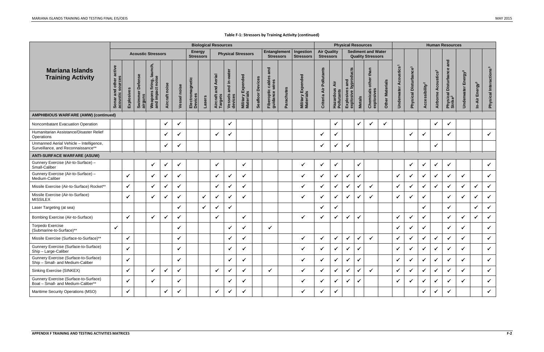|                                                                               |                                             |              |                            |                                             |                |              |                            |                                   | <b>Biological Resources</b>    |                                 |                                |                         |                                                        |            |                                |                                        |                                    | <b>Physical Resources</b>              |               |                                                       |                        |                              |                                         |                            |                                       | <b>Human Resources</b>                             |                                |                            |                                    |
|-------------------------------------------------------------------------------|---------------------------------------------|--------------|----------------------------|---------------------------------------------|----------------|--------------|----------------------------|-----------------------------------|--------------------------------|---------------------------------|--------------------------------|-------------------------|--------------------------------------------------------|------------|--------------------------------|----------------------------------------|------------------------------------|----------------------------------------|---------------|-------------------------------------------------------|------------------------|------------------------------|-----------------------------------------|----------------------------|---------------------------------------|----------------------------------------------------|--------------------------------|----------------------------|------------------------------------|
|                                                                               |                                             |              |                            | <b>Acoustic Stressors</b>                   |                |              |                            | <b>Energy</b><br><b>Stressors</b> |                                |                                 | <b>Physical Stressors</b>      |                         | Entanglement<br><b>Stressors</b>                       |            | Ingestion<br><b>Stressors</b>  | <b>Air Quality</b><br><b>Stressors</b> |                                    |                                        |               | <b>Sediment and Water</b><br><b>Quality Stressors</b> |                        |                              |                                         |                            |                                       |                                                    |                                |                            |                                    |
| <b>Mariana Islands</b><br><b>Training Activity</b>                            | active<br>other<br>Sonar and<br>acoustic so | Explosives   | Swimmer Defense<br>airguns | Weapons firing, launch,<br>and impact noise | Aircraft noise | Vessel noise | Electromagnetic<br>Devices | Lasers                            | Aircraft and Aerial<br>Targets | Vessels and in-water<br>devices | Military Expended<br>Materials | <b>Seafloor Devices</b> | and<br>c cables<br>wires<br>Fiberoptic o<br>guidance w | Parachutes | Military Expended<br>Materials | Criteria Air Pollutants                | <b>Hazardous Air</b><br>Pollutants | Explosives and<br>explosive byproducts | <b>Metals</b> | than<br>other<br>Chemicals of                         | <b>Other Materials</b> | <b>Underwater Acoustics'</b> | <b>Physical Disturbance<sup>1</sup></b> | Accessibility <sup>2</sup> | <b>Airborne Acoustics<sup>2</sup></b> | and<br>Physical Disturbance<br>Strike <sup>2</sup> | Underwater Energy <sup>3</sup> | In-Air Energy <sup>3</sup> | Physical Interactions <sup>3</sup> |
| <b>AMPHIBIOUS WARFARE (AMW) (continued)</b>                                   |                                             |              |                            |                                             |                |              |                            |                                   |                                |                                 |                                |                         |                                                        |            |                                |                                        |                                    |                                        |               |                                                       |                        |                              |                                         |                            |                                       |                                                    |                                |                            |                                    |
| Noncombatant Evacuation Operation                                             |                                             |              |                            |                                             | ✓              | $\checkmark$ |                            |                                   |                                | $\checkmark$                    |                                |                         |                                                        |            |                                |                                        | $\checkmark$                       |                                        | $\checkmark$  | $\checkmark$                                          | $\checkmark$           |                              |                                         |                            | √                                     | $\checkmark$                                       |                                |                            |                                    |
| Humanitarian Assistance/Disaster Relief<br>Operations                         |                                             |              |                            |                                             |                | $\checkmark$ |                            |                                   | $\checkmark$                   | $\checkmark$                    |                                |                         |                                                        |            |                                | $\checkmark$                           | $\checkmark$                       |                                        |               |                                                       |                        |                              | $\checkmark$                            | $\checkmark$               |                                       | ✔                                                  |                                |                            | $\checkmark$                       |
| Unmanned Aerial Vehicle - Intelligence,<br>Surveillance, and Reconnaissance** |                                             |              |                            |                                             | ✔              | $\checkmark$ |                            |                                   |                                |                                 |                                |                         |                                                        |            |                                | $\checkmark$                           | $\checkmark$                       | $\checkmark$                           |               |                                                       |                        |                              |                                         |                            | $\checkmark$                          |                                                    |                                |                            |                                    |
| <b>ANTI-SURFACE WARFARE (ASUW)</b>                                            |                                             |              |                            |                                             |                |              |                            |                                   |                                |                                 |                                |                         |                                                        |            |                                |                                        |                                    |                                        |               |                                                       |                        |                              |                                         |                            |                                       |                                                    |                                |                            |                                    |
| Gunnery Exercise (Air-to-Surface) -<br>Small-Caliber                          |                                             |              |                            | $\checkmark$                                | ✓              | $\checkmark$ |                            |                                   | $\checkmark$                   |                                 | $\checkmark$                   |                         |                                                        |            | ✔                              | $\checkmark$                           | $\checkmark$                       |                                        | $\checkmark$  |                                                       |                        |                              | $\checkmark$                            | $\checkmark$               | $\checkmark$                          | $\checkmark$                                       |                                |                            | $\checkmark$                       |
| Gunnery Exercise (Air-to-Surface) -<br>Medium-Caliber                         |                                             | $\checkmark$ |                            | $\checkmark$                                |                | $\checkmark$ |                            |                                   | $\checkmark$                   | $\checkmark$                    | ✔                              |                         |                                                        |            | ✓                              | $\checkmark$                           | $\checkmark$                       | $\checkmark$                           | $\checkmark$  |                                                       |                        | $\checkmark$                 | $\checkmark$                            | $\checkmark$               | $\checkmark$                          | √                                                  | $\checkmark$                   |                            | $\checkmark$                       |
| Missile Exercise (Air-to-Surface) Rocket**                                    |                                             | $\checkmark$ |                            | $\checkmark$                                |                | $\checkmark$ |                            |                                   | $\checkmark$                   | $\checkmark$                    | ✓                              |                         |                                                        |            | ✓                              | $\checkmark$                           | $\checkmark$                       | $\checkmark$                           | $\checkmark$  | $\checkmark$                                          |                        | $\checkmark$                 | $\checkmark$                            | $\checkmark$               | $\checkmark$                          | $\checkmark$                                       | ✔                              |                            | $\checkmark$                       |
| Missile Exercise (Air-to-Surface)<br><b>MISSILEX</b>                          |                                             | $\checkmark$ |                            | $\checkmark$                                |                | $\checkmark$ |                            | $\checkmark$                      | $\checkmark$                   | $\checkmark$                    | ✓                              |                         |                                                        |            | ✓                              | $\checkmark$                           | $\checkmark$                       | $\checkmark$                           | $\checkmark$  | $\checkmark$                                          |                        | $\checkmark$                 | $\checkmark$                            | $\checkmark$               |                                       | $\checkmark$                                       | $\checkmark$                   |                            | $\checkmark$                       |
| Laser Targeting (at sea)                                                      |                                             |              |                            |                                             |                | $\checkmark$ |                            | $\checkmark$                      | $\checkmark$                   | $\checkmark$                    |                                |                         |                                                        |            |                                | $\checkmark$                           | $\checkmark$                       |                                        |               |                                                       |                        |                              |                                         | $\checkmark$               |                                       | $\checkmark$                                       |                                | $\checkmark$               | $\checkmark$                       |
| Bombing Exercise (Air-to-Surface)                                             |                                             | $\checkmark$ |                            | $\checkmark$                                |                | $\checkmark$ |                            |                                   | $\checkmark$                   |                                 | ✓                              |                         |                                                        |            | ✔                              | $\checkmark$                           | $\checkmark$                       | $\checkmark$                           | $\checkmark$  |                                                       |                        | $\checkmark$                 |                                         | $\checkmark$               |                                       | $\checkmark$                                       | $\checkmark$                   | ✓                          | $\checkmark$                       |
| <b>Torpedo Exercise</b><br>(Submarine-to-Surface)**                           | $\checkmark$                                |              |                            |                                             |                | $\checkmark$ |                            |                                   |                                | $\checkmark$                    | ✓                              |                         | $\checkmark$                                           |            |                                |                                        |                                    |                                        |               |                                                       |                        | $\checkmark$                 | ✔                                       | $\checkmark$               |                                       | $\checkmark$                                       | $\checkmark$                   |                            | $\checkmark$                       |
| Missile Exercise (Surface-to-Surface)**                                       |                                             | $\checkmark$ |                            |                                             |                | $\checkmark$ |                            |                                   |                                | $\checkmark$                    | √                              |                         |                                                        |            | ✓                              | $\checkmark$                           | $\checkmark$                       | $\checkmark$                           | $\checkmark$  | $\checkmark$                                          |                        | $\checkmark$                 | $\checkmark$                            | $\checkmark$               | $\checkmark$                          | $\checkmark$                                       | $\checkmark$                   |                            | $\checkmark$                       |
| Gunnery Exercise (Surface-to-Surface)<br>Ship - Large-Caliber                 |                                             | $\checkmark$ |                            |                                             |                | $\checkmark$ |                            |                                   |                                | $\checkmark$                    | $\checkmark$                   |                         |                                                        |            | ✓                              | $\checkmark$                           | $\checkmark$                       | $\checkmark$                           | $\checkmark$  |                                                       |                        | $\checkmark$                 | $\checkmark$                            | $\checkmark$               | $\checkmark$                          | $\checkmark$                                       | $\checkmark$                   |                            | $\checkmark$                       |
| Gunnery Exercise (Surface-to-Surface)<br>Ship - Small- and Medium-Caliber     |                                             | $\checkmark$ |                            |                                             |                | $\checkmark$ |                            |                                   |                                | $\checkmark$                    | $\checkmark$                   |                         |                                                        |            | ✔                              |                                        | $\checkmark$                       | $\checkmark$                           | $\checkmark$  |                                                       |                        | $\checkmark$                 | $\checkmark$                            | $\checkmark$               | $\checkmark$                          |                                                    | $\checkmark$                   |                            | $\checkmark$                       |
| Sinking Exercise (SINKEX)                                                     |                                             | $\checkmark$ |                            | $\checkmark$                                |                | $\checkmark$ |                            |                                   | $\checkmark$                   | $\checkmark$                    | $\checkmark$                   |                         | $\checkmark$                                           |            | $\checkmark$                   | $\checkmark$                           | $\checkmark$                       | $\checkmark$                           | $\checkmark$  | $\checkmark$                                          |                        | $\checkmark$                 | $\checkmark$                            | $\checkmark$               | $\checkmark$                          | $\checkmark$                                       | $\checkmark$                   |                            | $\checkmark$                       |
| Gunnery Exercise (Surface-to-Surface)<br>Boat - Small- and Medium-Caliber**   |                                             | $\checkmark$ |                            | $\checkmark$                                |                | $\checkmark$ |                            |                                   |                                | $\checkmark$                    | $\checkmark$                   |                         |                                                        |            | ✔                              |                                        | $\checkmark$                       | $\checkmark$                           | $\checkmark$  |                                                       |                        | $\checkmark$                 | $\checkmark$                            | $\checkmark$               | $\checkmark$                          | $\checkmark$                                       | $\checkmark$                   |                            | $\checkmark$                       |
| Maritime Security Operations (MSO)                                            |                                             | $\checkmark$ |                            |                                             | ✓              | $\checkmark$ |                            |                                   | $\checkmark$                   | $\checkmark$                    | $\checkmark$                   |                         |                                                        |            | ✓                              | $\checkmark$                           | $\checkmark$                       |                                        |               |                                                       |                        |                              |                                         | $\checkmark$               | $\checkmark$                          | $\checkmark$                                       |                                |                            | $\checkmark$                       |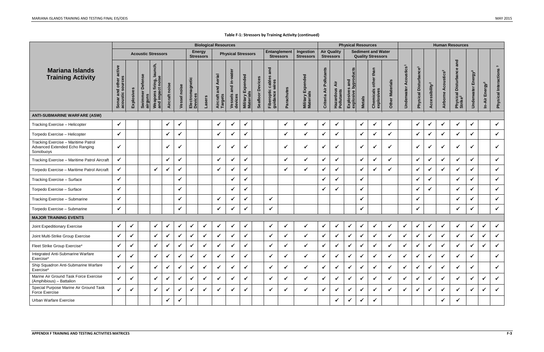|                                                                                    |                                                 |              |                                        |                                             |                |                 |                            |                                   | <b>Biological Resources</b>                |                                    |                                |                            |                                                 |                                         |                                       |                         |                                           |                                        | <b>Physical Resources</b> |                                                       |                        |                              |                                   |                            |                                       | <b>Human Resources</b>                             |                                |                                 |                            |
|------------------------------------------------------------------------------------|-------------------------------------------------|--------------|----------------------------------------|---------------------------------------------|----------------|-----------------|----------------------------|-----------------------------------|--------------------------------------------|------------------------------------|--------------------------------|----------------------------|-------------------------------------------------|-----------------------------------------|---------------------------------------|-------------------------|-------------------------------------------|----------------------------------------|---------------------------|-------------------------------------------------------|------------------------|------------------------------|-----------------------------------|----------------------------|---------------------------------------|----------------------------------------------------|--------------------------------|---------------------------------|----------------------------|
|                                                                                    |                                                 |              | <b>Acoustic Stressors</b>              |                                             |                |                 |                            | <b>Energy</b><br><b>Stressors</b> |                                            | <b>Physical Stressors</b>          |                                |                            |                                                 | <b>Entanglement</b><br><b>Stressors</b> | Ingestion<br><b>Stressors</b>         |                         | <b>Air Quality</b><br><b>Stressors</b>    |                                        |                           | <b>Sediment and Water</b><br><b>Quality Stressors</b> |                        |                              |                                   |                            |                                       |                                                    |                                |                                 |                            |
| <b>Mariana Islands</b><br><b>Training Activity</b>                                 | active<br>Sonar and other a<br>acoustic sources | Explosives   | <b>Defense</b><br>Swimmer I<br>airguns | Weapons firing, launch,<br>and impact noise | Aircraft noise | noise<br>Vessel | Electromagnetic<br>Devices | Lasers                            | <b>Aerial</b><br>Aircraft and /<br>Targets | and in-water<br>Vessels<br>devices | Military Expended<br>Materials | <b>Devices</b><br>Seafloor | and<br>ဖ<br>Fiberoptic cables<br>guidance wires | Parachutes                              | <b>Military Expended</b><br>Materials | Criteria Air Pollutants | $\overline{4}$<br>Hazardous<br>Pollutants | Explosives and<br>explosive byproducts | <b>Metals</b>             | other than<br>Chemicals of<br>explosives              | <b>Other Materials</b> | <b>Underwater Acoustics'</b> | Physical Disturbance <sup>1</sup> | Accessibility <sup>2</sup> | <b>Airborne Acoustics<sup>2</sup></b> | and<br>Physical Disturbance<br>Strike <sup>2</sup> | Underwater Energy <sup>3</sup> | Energy <sup>3</sup><br>$In-Air$ | S<br>Physical Interactions |
| <b>ANTI-SUBMARINE WARFARE (ASW)</b>                                                |                                                 |              |                                        |                                             |                |                 |                            |                                   |                                            |                                    |                                |                            |                                                 |                                         |                                       |                         |                                           |                                        |                           |                                                       |                        |                              |                                   |                            |                                       |                                                    |                                |                                 |                            |
| Tracking Exercise - Helicopter                                                     | $\checkmark$                                    |              |                                        |                                             | $\checkmark$   | $\checkmark$    |                            |                                   | $\checkmark$                               | $\checkmark$                       | $\checkmark$                   |                            |                                                 | $\checkmark$                            | $\checkmark$                          | $\checkmark$            | $\checkmark$                              |                                        | $\checkmark$              | $\checkmark$                                          | ✔                      |                              | $\checkmark$                      | $\checkmark$               | $\checkmark$                          | ✔                                                  | $\checkmark$                   |                                 | $\checkmark$               |
| Torpedo Exercise - Helicopter                                                      | $\checkmark$                                    |              |                                        |                                             | $\checkmark$   | $\checkmark$    |                            |                                   | $\checkmark$                               | $\checkmark$                       | $\checkmark$                   |                            |                                                 | $\checkmark$                            | $\checkmark$                          | $\checkmark$            | $\checkmark$                              |                                        | $\checkmark$              | $\checkmark$                                          |                        |                              | $\checkmark$                      | $\checkmark$               | $\checkmark$                          | ✔                                                  | $\checkmark$                   |                                 | $\checkmark$               |
| Tracking Exercise - Maritime Patrol<br>Advanced Extended Echo Ranging<br>Sonobuoys | $\checkmark$                                    |              |                                        |                                             |                |                 |                            |                                   | $\overline{\mathbf{v}}$                    | $\checkmark$                       | $\checkmark$                   |                            |                                                 | $\checkmark$                            | $\checkmark$                          | $\checkmark$            | $\checkmark$                              |                                        | $\checkmark$              | $\checkmark$                                          |                        |                              | $\checkmark$                      |                            | $\checkmark$                          |                                                    | $\checkmark$                   |                                 | $\checkmark$               |
| Tracking Exercise - Maritime Patrol Aircraft                                       | $\checkmark$                                    |              |                                        |                                             | $\checkmark$   | $\checkmark$    |                            |                                   | $\checkmark$                               | $\checkmark$                       | $\checkmark$                   |                            |                                                 | $\checkmark$                            | $\checkmark$                          | $\checkmark$            | $\checkmark$                              |                                        | $\checkmark$              | $\checkmark$                                          |                        |                              | $\checkmark$                      | $\checkmark$               | $\checkmark$                          | ✔                                                  | $\checkmark$                   |                                 | $\checkmark$               |
| Torpedo Exercise - Maritime Patrol Aircraft                                        | $\checkmark$                                    |              |                                        | $\checkmark$                                |                |                 |                            |                                   | $\checkmark$                               | ✓                                  | $\checkmark$                   |                            |                                                 | $\checkmark$                            | $\checkmark$                          | $\checkmark$            | $\checkmark$                              |                                        | $\checkmark$              | $\checkmark$                                          |                        |                              | $\checkmark$                      |                            | $\checkmark$                          |                                                    | ✓                              |                                 | $\checkmark$               |
| Tracking Exercise - Surface                                                        | $\checkmark$                                    |              |                                        |                                             |                | $\checkmark$    |                            |                                   |                                            | ✓                                  | $\checkmark$                   |                            |                                                 |                                         |                                       | $\checkmark$            |                                           |                                        | $\checkmark$              |                                                       |                        |                              | $\checkmark$                      | $\checkmark$               |                                       | ✔                                                  | ✓                              |                                 | $\checkmark$               |
| Torpedo Exercise - Surface                                                         | $\checkmark$                                    |              |                                        |                                             |                | $\checkmark$    |                            |                                   |                                            | $\checkmark$                       | ✔                              |                            |                                                 |                                         |                                       | $\checkmark$            | $\checkmark$                              |                                        | $\checkmark$              |                                                       |                        |                              | $\checkmark$                      | $\checkmark$               |                                       | ✔                                                  | $\checkmark$                   |                                 | $\checkmark$               |
| Tracking Exercise - Submarine                                                      | $\checkmark$                                    |              |                                        |                                             |                | $\checkmark$    |                            |                                   | $\checkmark$                               | $\checkmark$                       | $\checkmark$                   |                            | $\checkmark$                                    |                                         |                                       |                         |                                           |                                        | $\checkmark$              |                                                       |                        |                              | $\checkmark$                      |                            |                                       |                                                    | $\checkmark$                   |                                 | $\checkmark$               |
| Torpedo Exercise - Submarine                                                       | $\checkmark$                                    |              |                                        |                                             |                | $\checkmark$    |                            |                                   | $\checkmark$                               | $\checkmark$                       | $\checkmark$                   |                            | $\checkmark$                                    |                                         |                                       |                         |                                           |                                        | $\checkmark$              |                                                       |                        |                              | $\checkmark$                      |                            |                                       | ✓                                                  | $\checkmark$                   |                                 | $\checkmark$               |
| <b>MAJOR TRAINING EVENTS</b>                                                       |                                                 |              |                                        |                                             |                |                 |                            |                                   |                                            |                                    |                                |                            |                                                 |                                         |                                       |                         |                                           |                                        |                           |                                                       |                        |                              |                                   |                            |                                       |                                                    |                                |                                 |                            |
| Joint Expeditionary Exercise                                                       | $\checkmark$                                    | √            |                                        | ✓                                           | ✔              | $\checkmark$    | $\checkmark$               | $\checkmark$                      | $\checkmark$                               | $\checkmark$                       | $\checkmark$                   |                            | $\checkmark$                                    | $\checkmark$                            | $\checkmark$                          | $\checkmark$            | $\checkmark$                              | $\checkmark$                           | $\checkmark$              | $\checkmark$                                          | ✔                      | $\checkmark$                 | $\checkmark$                      | $\checkmark$               | $\checkmark$                          | $\checkmark$                                       | $\checkmark$                   | $\checkmark$                    | $\checkmark$               |
| Joint Multi-Strike Group Exercise                                                  | $\checkmark$                                    | ✔            |                                        | $\checkmark$                                | ✔              | $\checkmark$    | $\checkmark$               | $\checkmark$                      | $\checkmark$                               | $\checkmark$                       | $\checkmark$                   |                            | $\checkmark$                                    | $\checkmark$                            | $\checkmark$                          | $\checkmark$            | $\checkmark$                              | $\checkmark$                           | $\checkmark$              | $\checkmark$                                          |                        | $\checkmark$                 | $\checkmark$                      |                            | $\checkmark$                          |                                                    | $\checkmark$                   |                                 | $\checkmark$               |
| Fleet Strike Group Exercise*                                                       | $\checkmark$                                    | √            |                                        | $\checkmark$                                |                |                 | $\checkmark$               | $\checkmark$                      | $\checkmark$                               | $\checkmark$                       | $\checkmark$                   |                            | $\checkmark$                                    | $\checkmark$                            | $\checkmark$                          | $\checkmark$            | $\checkmark$                              | $\checkmark$                           | $\checkmark$              | $\checkmark$                                          |                        | $\checkmark$                 | $\checkmark$                      | $\checkmark$               | $\checkmark$                          |                                                    | $\checkmark$                   |                                 |                            |
| Integrated Anti-Submarine Warfare<br>Exercise*                                     | $\checkmark$                                    | $\checkmark$ |                                        | $\checkmark$                                | $\checkmark$   |                 | $\checkmark$               | $\checkmark$                      | ✓                                          | $\checkmark$                       | $\checkmark$                   |                            | $\checkmark$                                    | $\checkmark$                            | $\checkmark$                          | $\checkmark$            | $\checkmark$                              | $\checkmark$                           | $\checkmark$              | $\checkmark$                                          | ✓                      | $\checkmark$                 | $\checkmark$                      | $\checkmark$               | $\checkmark$                          | ✔                                                  | $\checkmark$                   |                                 | $\checkmark$               |
| Ship Squadron Anti-Submarine Warfare<br>Exercise*                                  | $\checkmark$                                    | $\checkmark$ |                                        | $\checkmark$                                | ✓              | $\checkmark$    | $\checkmark$               | $\checkmark$                      | $\checkmark$                               | $\checkmark$                       | $\checkmark$                   |                            | $\checkmark$                                    | $\checkmark$                            | $\checkmark$                          | $\checkmark$            | $\checkmark$                              | $\checkmark$                           | $\checkmark$              | $\checkmark$                                          | ✓                      | $\checkmark$                 | $\checkmark$                      | $\checkmark$               | $\checkmark$                          | $\checkmark$                                       | $\checkmark$                   |                                 | $\checkmark$               |
| Marine Air Ground Task Force Exercise<br>(Amphibious) - Battalion                  | $\checkmark$                                    | $\checkmark$ |                                        | $\checkmark$                                | ✓              | $\checkmark$    | $\checkmark$               | $\checkmark$                      | $\checkmark$                               | $\checkmark$                       | $\checkmark$                   |                            | $\checkmark$                                    | $\checkmark$                            | $\checkmark$                          | $\checkmark$            | $\checkmark$                              | $\checkmark$                           | $\checkmark$              | $\checkmark$                                          | ✓                      | $\checkmark$                 | $\checkmark$                      | $\checkmark$               | $\checkmark$                          | ✔                                                  | $\checkmark$                   | ✓                               | $\checkmark$               |
| Special Purpose Marine Air Ground Task<br>Force Exercise                           | $\checkmark$                                    | $\checkmark$ |                                        | $\checkmark$                                | ✓              | $\checkmark$    | $\checkmark$               | $\checkmark$                      | $\checkmark$                               | $\checkmark$                       | $\checkmark$                   |                            | $\checkmark$                                    | $\checkmark$                            | $\checkmark$                          | $\checkmark$            | $\checkmark$                              | $\checkmark$                           | $\checkmark$              | $\checkmark$                                          | $\checkmark$           | $\checkmark$                 | $\checkmark$                      | $\checkmark$               | $\checkmark$                          | ✔                                                  | $\checkmark$                   | ✓                               | $\checkmark$               |
| Urban Warfare Exercise                                                             |                                                 |              |                                        |                                             | ✔              | $\checkmark$    |                            |                                   |                                            |                                    |                                |                            |                                                 |                                         |                                       |                         | $\checkmark$                              | $\checkmark$                           | $\checkmark$              | $\checkmark$                                          |                        |                              |                                   |                            | $\checkmark$                          | ✔                                                  |                                |                                 |                            |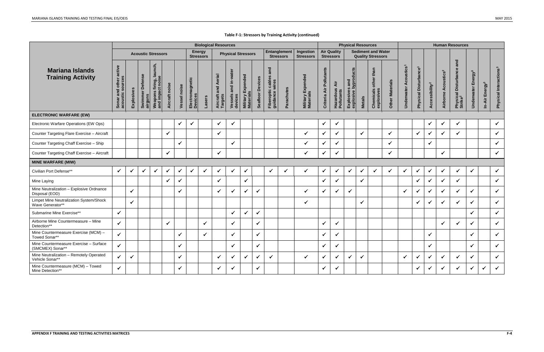|                                                             |                                            |              |                                        |                                                  |                |              |                            |                                   | <b>Biological Resources</b>                       |                                    |                                |                         |                                              |                     |                                |                         |                                        | <b>Physical Resources</b>              |               |                                                       |                        |                                         |                                   |                            |                                 | <b>Human Resources</b>                             |                                |                                 |                                    |
|-------------------------------------------------------------|--------------------------------------------|--------------|----------------------------------------|--------------------------------------------------|----------------|--------------|----------------------------|-----------------------------------|---------------------------------------------------|------------------------------------|--------------------------------|-------------------------|----------------------------------------------|---------------------|--------------------------------|-------------------------|----------------------------------------|----------------------------------------|---------------|-------------------------------------------------------|------------------------|-----------------------------------------|-----------------------------------|----------------------------|---------------------------------|----------------------------------------------------|--------------------------------|---------------------------------|------------------------------------|
|                                                             |                                            |              |                                        | <b>Acoustic Stressors</b>                        |                |              |                            | <b>Energy</b><br><b>Stressors</b> |                                                   | <b>Physical Stressors</b>          |                                |                         | <b>Stressors</b>                             | <b>Entanglement</b> | Ingestion<br><b>Stressors</b>  |                         | <b>Air Quality</b><br><b>Stressors</b> |                                        |               | <b>Sediment and Water</b><br><b>Quality Stressors</b> |                        |                                         |                                   |                            |                                 |                                                    |                                |                                 |                                    |
| <b>Mariana Islands</b><br><b>Training Activity</b>          | Sonar and other active<br>acoustic sources | Explosives   | <b>Defense</b><br>Swimmer I<br>airguns | launch,<br>Weapons firing, I<br>and impact noise | Aircraft noise | Vessel noise | Electromagnetic<br>Devices | Lasers                            | <b>Aerial</b><br>Aircraft and <i>I</i><br>Targets | and in-water<br>Vessels<br>devices | Military Expended<br>Materials | <b>Seafloor Devices</b> | and<br>Fiberoptic cables a<br>guidance wires | Parachutes          | Military Expended<br>Materials | Criteria Air Pollutants | <b>Hazardous Air</b><br>Pollutants     | Explosives and<br>explosive byproducts | <b>Metals</b> | other than<br>Chemicals of<br>explosives              | <b>Other Materials</b> | <b>Underwater Acoustics<sup>1</sup></b> | Physical Disturbance <sup>1</sup> | Accessibility <sup>2</sup> | Airborne Acoustics <sup>2</sup> | and<br>Physical Disturbancı<br>Strike <sup>2</sup> | Underwater Energy <sup>3</sup> | Energy <sup>3</sup><br>$In-Air$ | Physical Interactions <sup>3</sup> |
| <b>ELECTRONIC WARFARE (EW)</b>                              |                                            |              |                                        |                                                  |                |              |                            |                                   |                                                   |                                    |                                |                         |                                              |                     |                                |                         |                                        |                                        |               |                                                       |                        |                                         |                                   |                            |                                 |                                                    |                                |                                 |                                    |
| Electronic Warfare Operations (EW Ops)                      |                                            |              |                                        |                                                  |                | $\checkmark$ | $\checkmark$               |                                   | $\checkmark$                                      | $\checkmark$                       |                                |                         |                                              |                     |                                | $\checkmark$            | $\checkmark$                           |                                        |               |                                                       |                        |                                         |                                   | $\checkmark$               | $\checkmark$                    | $\checkmark$                                       |                                |                                 | $\checkmark$                       |
| Counter Targeting Flare Exercise - Aircraft                 |                                            |              |                                        |                                                  |                |              |                            |                                   | ✔                                                 |                                    |                                |                         |                                              |                     | ✓                              | $\checkmark$            | $\checkmark$                           |                                        | $\checkmark$  |                                                       |                        |                                         | $\checkmark$                      | $\checkmark$               |                                 |                                                    |                                |                                 | $\checkmark$                       |
| Counter Targeting Chaff Exercise - Ship                     |                                            |              |                                        |                                                  |                |              |                            |                                   |                                                   | $\checkmark$                       |                                |                         |                                              |                     | ✓                              | $\checkmark$            |                                        |                                        |               |                                                       |                        |                                         |                                   |                            |                                 |                                                    |                                |                                 | $\checkmark$                       |
| Counter Targeting Chaff Exercise - Aircraft                 |                                            |              |                                        |                                                  |                |              |                            |                                   | $\checkmark$                                      |                                    |                                |                         |                                              |                     | ✓                              | $\checkmark$            |                                        |                                        |               |                                                       |                        |                                         |                                   |                            |                                 |                                                    |                                |                                 | $\checkmark$                       |
| <b>MINE WARFARE (MIW)</b>                                   |                                            |              |                                        |                                                  |                |              |                            |                                   |                                                   |                                    |                                |                         |                                              |                     |                                |                         |                                        |                                        |               |                                                       |                        |                                         |                                   |                            |                                 |                                                    |                                |                                 |                                    |
| Civilian Port Defense**                                     | $\checkmark$                               | $\checkmark$ | $\checkmark$                           | $\checkmark$                                     | ✓              | $\checkmark$ | $\checkmark$               | $\checkmark$                      | $\checkmark$                                      | $\checkmark$                       | $\checkmark$                   |                         | $\checkmark$                                 | ✔                   | ✔                              | $\checkmark$            | $\checkmark$                           | $\checkmark$                           | $\checkmark$  | $\checkmark$                                          | $\checkmark$           | $\checkmark$                            | $\checkmark$                      | $\checkmark$               | $\checkmark$                    | ✔                                                  | $\checkmark$                   |                                 | $\checkmark$                       |
| Mine Laying                                                 |                                            |              |                                        |                                                  |                |              |                            |                                   | √                                                 |                                    | $\checkmark$                   |                         |                                              |                     |                                | $\checkmark$            | $\checkmark$                           |                                        | $\checkmark$  |                                                       |                        |                                         | $\checkmark$                      | $\checkmark$               | $\checkmark$                    | ✔                                                  |                                |                                 | $\checkmark$                       |
| Mine Neutralization - Explosive Ordnance<br>Disposal (EOD)  |                                            | $\checkmark$ |                                        |                                                  |                | $\checkmark$ |                            |                                   |                                                   | $\checkmark$                       | ✓                              | $\checkmark$            |                                              |                     | ✔                              | $\checkmark$            | $\checkmark$                           | $\checkmark$                           |               |                                                       |                        | $\checkmark$                            | $\checkmark$                      |                            |                                 |                                                    | $\checkmark$                   |                                 | $\checkmark$                       |
| Limpet Mine Neutralization System/Shock<br>Wave Generator** |                                            | $\checkmark$ |                                        |                                                  |                |              |                            |                                   |                                                   |                                    |                                |                         |                                              |                     | $\checkmark$                   |                         |                                        |                                        | $\checkmark$  |                                                       |                        |                                         | $\checkmark$                      | ✓                          |                                 |                                                    | $\checkmark$                   |                                 | $\checkmark$                       |
| Submarine Mine Exercise**                                   | $\checkmark$                               |              |                                        |                                                  |                |              |                            |                                   |                                                   | $\checkmark$                       | $\checkmark$                   | $\checkmark$            |                                              |                     |                                |                         |                                        |                                        |               |                                                       |                        |                                         |                                   |                            |                                 |                                                    | $\checkmark$                   |                                 | $\checkmark$                       |
| Airborne Mine Countermeasure - Mine<br>Detection**          | $\checkmark$                               |              |                                        |                                                  | ✔              |              |                            | $\checkmark$                      |                                                   | $\checkmark$                       |                                | $\checkmark$            |                                              |                     |                                | $\checkmark$            | $\checkmark$                           |                                        |               |                                                       |                        |                                         |                                   |                            | $\checkmark$                    |                                                    | $\checkmark$                   |                                 | $\checkmark$                       |
| Mine Countermeasure Exercise (MCM) -<br>Towed Sonar**       | $\checkmark$                               |              |                                        |                                                  |                |              |                            | ✓                                 |                                                   | $\checkmark$                       |                                | $\checkmark$            |                                              |                     |                                | $\checkmark$            | $\checkmark$                           |                                        |               |                                                       |                        |                                         |                                   |                            |                                 |                                                    | $\checkmark$                   |                                 | $\checkmark$                       |
| Mine Countermeasure Exercise - Surface<br>(SMCMEX) Sonar**  | $\checkmark$                               |              |                                        |                                                  |                | $\checkmark$ |                            |                                   |                                                   | $\checkmark$                       |                                | $\checkmark$            |                                              |                     |                                | $\checkmark$            | $\checkmark$                           |                                        |               |                                                       |                        |                                         |                                   | $\checkmark$               |                                 |                                                    | $\checkmark$                   |                                 | $\checkmark$                       |
| Mine Neutralization - Remotely Operated<br>Vehicle Sonar**  | $\checkmark$                               | $\checkmark$ |                                        |                                                  |                | $\checkmark$ |                            |                                   | $\checkmark$                                      | $\checkmark$                       | $\checkmark$                   | $\checkmark$            | $\sqrt{2}$                                   |                     | $\checkmark$                   | $\checkmark$            | $\checkmark$                           | $\checkmark$                           | $\checkmark$  |                                                       |                        | $\checkmark$                            | $\checkmark$                      | $\checkmark$               | $\checkmark$                    | $\checkmark$                                       | $\checkmark$                   |                                 | $\checkmark$                       |
| Mine Countermeasure (MCM) - Towed<br>Mine Detection**       | $\checkmark$                               |              |                                        |                                                  |                | ✓            |                            |                                   | v                                                 | $\checkmark$                       |                                | $\checkmark$            |                                              |                     |                                | $\checkmark$            | $\checkmark$                           |                                        |               |                                                       |                        |                                         | $\checkmark$                      | $\checkmark$               | $\checkmark$                    | $\checkmark$                                       | $\checkmark$                   | $\checkmark$                    | $\checkmark$                       |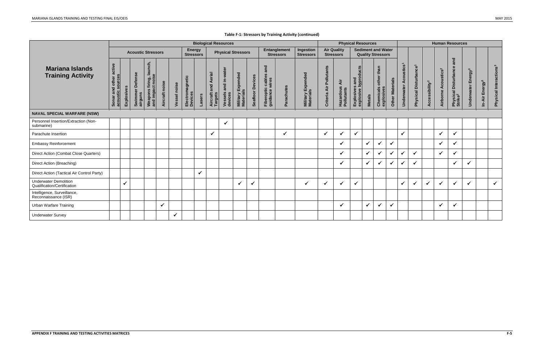|                                                             |                                                 |              |                            |                                                             |                |              |                                   |              |                                | <b>Biological Resources</b>        |                                |                         |                                                      |                                         |                                |                            | <b>Physical Resources</b>              |                                        |               |                                                       |                        |                                      |                                         |                            |                                       | <b>Human Resources</b>                             |                                   |                                 |                                    |
|-------------------------------------------------------------|-------------------------------------------------|--------------|----------------------------|-------------------------------------------------------------|----------------|--------------|-----------------------------------|--------------|--------------------------------|------------------------------------|--------------------------------|-------------------------|------------------------------------------------------|-----------------------------------------|--------------------------------|----------------------------|----------------------------------------|----------------------------------------|---------------|-------------------------------------------------------|------------------------|--------------------------------------|-----------------------------------------|----------------------------|---------------------------------------|----------------------------------------------------|-----------------------------------|---------------------------------|------------------------------------|
|                                                             |                                                 |              |                            | <b>Acoustic Stressors</b>                                   |                |              | <b>Energy</b><br><b>Stressors</b> |              |                                |                                    | <b>Physical Stressors</b>      |                         |                                                      | <b>Entanglement</b><br><b>Stressors</b> | Ingestion<br><b>Stressors</b>  |                            | <b>Air Quality</b><br><b>Stressors</b> |                                        |               | <b>Sediment and Water</b><br><b>Quality Stressors</b> |                        |                                      |                                         |                            |                                       |                                                    |                                   |                                 |                                    |
| <b>Mariana Islands</b><br><b>Training Activity</b>          | active<br>Sonar and other a<br>acoustic sources | Explosives   | Swimmer Defense<br>airguns | launch,<br>s firing, l<br>Ict noise<br>Weapons<br>and impac | Aircraft noise | Vessel noise | Electromagnetic<br>Devices        | Lasers       | Aircraft and Aerial<br>Targets | and in-water<br>Vessels<br>devices | Military Expended<br>Materials | <b>Seafloor Devices</b> | and<br>c cables<br>wires<br>Fiberoptic<br>guidance w | Parachutes                              | Military Expended<br>Materials | Pollutants<br>Criteria Air | <b>Hazardous Air</b><br>Pollutants     | Explosives and<br>explosive byproducts | <b>Metals</b> | than<br>other<br>Chemicals<br>explosives              | <b>Other Materials</b> | Acoustics <sup>1</sup><br>Underwater | <b>Physical Disturbance<sup>1</sup></b> | Accessibility <sup>2</sup> | <b>Airborne Acoustics<sup>2</sup></b> | and<br>Physical Disturbance<br>Strike <sup>2</sup> | Energy <sup>3</sup><br>Underwater | Energy <sup>3</sup><br>$In-Air$ | Physical Interactions <sup>3</sup> |
| <b>NAVAL SPECIAL WARFARE (NSW)</b>                          |                                                 |              |                            |                                                             |                |              |                                   |              |                                |                                    |                                |                         |                                                      |                                         |                                |                            |                                        |                                        |               |                                                       |                        |                                      |                                         |                            |                                       |                                                    |                                   |                                 |                                    |
| Personnel Insertion/Extraction (Non-<br>submarine)          |                                                 |              |                            |                                                             |                |              |                                   |              |                                | $\checkmark$                       |                                |                         |                                                      |                                         |                                |                            |                                        |                                        |               |                                                       |                        |                                      |                                         |                            |                                       |                                                    |                                   |                                 |                                    |
| Parachute Insertion                                         |                                                 |              |                            |                                                             |                |              |                                   |              | $\checkmark$                   |                                    |                                |                         |                                                      | ✔                                       |                                | $\checkmark$               | $\checkmark$                           | $\checkmark$                           |               |                                                       |                        | $\checkmark$                         |                                         |                            | $\checkmark$                          | $\checkmark$                                       |                                   |                                 |                                    |
| <b>Embassy Reinforcement</b>                                |                                                 |              |                            |                                                             |                |              |                                   |              |                                |                                    |                                |                         |                                                      |                                         |                                |                            | $\checkmark$                           |                                        | $\checkmark$  | $\checkmark$                                          | $\checkmark$           |                                      |                                         |                            | $\checkmark$                          | ✓                                                  |                                   |                                 |                                    |
| Direct Action (Combat Close Quarters)                       |                                                 |              |                            |                                                             |                |              |                                   |              |                                |                                    |                                |                         |                                                      |                                         |                                |                            | $\checkmark$                           |                                        | $\checkmark$  | $\mathbf{v}$                                          | $\checkmark$           | $\checkmark$                         |                                         |                            | $\checkmark$                          | $\checkmark$                                       |                                   |                                 |                                    |
| Direct Action (Breaching)                                   |                                                 |              |                            |                                                             |                |              |                                   |              |                                |                                    |                                |                         |                                                      |                                         |                                |                            | $\checkmark$                           |                                        | $\checkmark$  | $\checkmark$                                          | $\checkmark$           | $\checkmark$                         |                                         |                            |                                       | $\checkmark$                                       | $\checkmark$                      |                                 |                                    |
| Direct Action (Tactical Air Control Party)                  |                                                 |              |                            |                                                             |                |              |                                   | $\checkmark$ |                                |                                    |                                |                         |                                                      |                                         |                                |                            |                                        |                                        |               |                                                       |                        |                                      |                                         |                            |                                       |                                                    |                                   |                                 |                                    |
| <b>Underwater Demolition</b><br>Qualification/Certification |                                                 | $\checkmark$ |                            |                                                             |                |              |                                   |              |                                |                                    | $\checkmark$                   | $\checkmark$            |                                                      |                                         | $\checkmark$                   | $\boldsymbol{\mathcal{L}}$ | $\checkmark$                           | $\checkmark$                           |               |                                                       |                        | $\checkmark$                         |                                         | $\checkmark$               | $\checkmark$                          | $\checkmark$                                       | $\checkmark$                      |                                 | $\checkmark$                       |
| Intelligence, Surveillance,<br>Reconnaissance (ISR)         |                                                 |              |                            |                                                             |                |              |                                   |              |                                |                                    |                                |                         |                                                      |                                         |                                |                            |                                        |                                        |               |                                                       |                        |                                      |                                         |                            |                                       |                                                    |                                   |                                 |                                    |
| <b>Urban Warfare Training</b>                               |                                                 |              |                            |                                                             | $\checkmark$   |              |                                   |              |                                |                                    |                                |                         |                                                      |                                         |                                |                            | $\checkmark$                           |                                        | $\checkmark$  | $\checkmark$                                          | $\checkmark$           |                                      |                                         |                            | $\checkmark$                          | ✓                                                  |                                   |                                 |                                    |
| <b>Underwater Survey</b>                                    |                                                 |              |                            |                                                             |                | $\checkmark$ |                                   |              |                                |                                    |                                |                         |                                                      |                                         |                                |                            |                                        |                                        |               |                                                       |                        |                                      |                                         |                            |                                       |                                                    |                                   |                                 |                                    |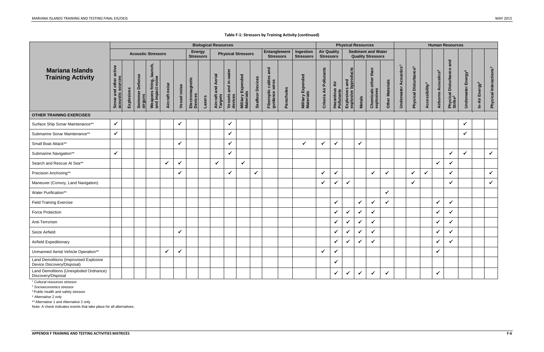<sup>1</sup> Cultural resources stressor

<sup>2</sup> Socioeconomics stressor

<sup>3</sup> Public health and safety stressor

|                                                                      |                                            |            |                                        |                                                        |                |              |                                   |        | <b>Biological Resources</b>    |                                    |                                |                         |                                                      |            |                                |                                        |                                    |                                        | <b>Physical Resources</b> |                                                       |                        |                              |                                   |                            |                                 | <b>Human Resources</b>                             |                                |                            |                                    |
|----------------------------------------------------------------------|--------------------------------------------|------------|----------------------------------------|--------------------------------------------------------|----------------|--------------|-----------------------------------|--------|--------------------------------|------------------------------------|--------------------------------|-------------------------|------------------------------------------------------|------------|--------------------------------|----------------------------------------|------------------------------------|----------------------------------------|---------------------------|-------------------------------------------------------|------------------------|------------------------------|-----------------------------------|----------------------------|---------------------------------|----------------------------------------------------|--------------------------------|----------------------------|------------------------------------|
|                                                                      |                                            |            |                                        | <b>Acoustic Stressors</b>                              |                |              | <b>Energy</b><br><b>Stressors</b> |        |                                |                                    | <b>Physical Stressors</b>      |                         | Entanglement<br><b>Stressors</b>                     |            | Ingestion<br><b>Stressors</b>  | <b>Air Quality</b><br><b>Stressors</b> |                                    |                                        |                           | <b>Sediment and Water</b><br><b>Quality Stressors</b> |                        |                              |                                   |                            |                                 |                                                    |                                |                            |                                    |
| <b>Mariana Islands</b><br><b>Training Activity</b>                   | Sonar and other active<br>acoustic sources | Explosives | <b>Defense</b><br>Swimmer I<br>airguns | s firing, launch,<br>act noise<br>Weapons<br>and impac | Aircraft noise | Vessel noise | Electromagnetic<br>Devices        | Lasers | Aircraft and Aerial<br>Targets | and in-water<br>Vessels<br>devices | Military Expended<br>Materials | <b>Seafloor Devices</b> | and<br>c cables<br>wires<br>Fiberoptic<br>guidance w | Parachutes | Military Expended<br>Materials | Criteria Air Pollutants                | <b>Hazardous Air</b><br>Pollutants | Explosives and<br>explosive byproducts | <b>Metals</b>             | than<br>other<br>Chemicals o<br>explosives            | <b>Other Materials</b> | <b>Underwater Acoustics'</b> | Physical Disturbance <sup>1</sup> | Accessibility <sup>2</sup> | Airborne Acoustics <sup>2</sup> | and<br>Physical Disturbance<br>Strike <sup>2</sup> | Underwater Energy <sup>3</sup> | In-Air Energy <sup>3</sup> | Physical Interactions <sup>3</sup> |
| <b>OTHER TRAINING EXERCISES</b>                                      |                                            |            |                                        |                                                        |                |              |                                   |        |                                |                                    |                                |                         |                                                      |            |                                |                                        |                                    |                                        |                           |                                                       |                        |                              |                                   |                            |                                 |                                                    |                                |                            |                                    |
| Surface Ship Sonar Maintenance**                                     | $\checkmark$                               |            |                                        |                                                        |                | $\checkmark$ |                                   |        |                                | $\checkmark$                       |                                |                         |                                                      |            |                                |                                        |                                    |                                        |                           |                                                       |                        |                              |                                   |                            |                                 |                                                    | $\checkmark$                   |                            |                                    |
| Submarine Sonar Maintenance**                                        | $\checkmark$                               |            |                                        |                                                        |                |              |                                   |        |                                | $\checkmark$                       |                                |                         |                                                      |            |                                |                                        |                                    |                                        |                           |                                                       |                        |                              |                                   |                            |                                 |                                                    | $\checkmark$                   |                            |                                    |
| Small Boat Attack**                                                  |                                            |            |                                        |                                                        |                | $\checkmark$ |                                   |        |                                | $\checkmark$                       |                                |                         |                                                      |            | $\checkmark$                   | $\checkmark$                           | $\checkmark$                       |                                        | $\checkmark$              |                                                       |                        |                              |                                   |                            |                                 |                                                    |                                |                            |                                    |
| Submarine Navigation**                                               | $\checkmark$                               |            |                                        |                                                        |                |              |                                   |        |                                | $\checkmark$                       |                                |                         |                                                      |            |                                |                                        |                                    |                                        |                           |                                                       |                        |                              |                                   |                            |                                 | $\checkmark$                                       | $\checkmark$                   |                            | $\checkmark$                       |
| Search and Rescue At Sea**                                           |                                            |            |                                        |                                                        | $\checkmark$   | $\checkmark$ |                                   |        | $\checkmark$                   |                                    | $\checkmark$                   |                         |                                                      |            |                                |                                        |                                    |                                        |                           |                                                       |                        |                              |                                   |                            | $\checkmark$                    | $\checkmark$                                       |                                |                            |                                    |
| Precision Anchoring**                                                |                                            |            |                                        |                                                        |                | $\checkmark$ |                                   |        |                                | $\checkmark$                       |                                | $\checkmark$            |                                                      |            |                                | $\checkmark$                           | $\checkmark$                       |                                        |                           | $\checkmark$                                          | $\checkmark$           |                              | $\checkmark$                      | $\checkmark$               |                                 | $\checkmark$                                       |                                |                            | $\checkmark$                       |
| Maneuver (Convoy, Land Navigation)                                   |                                            |            |                                        |                                                        |                |              |                                   |        |                                |                                    |                                |                         |                                                      |            |                                | $\checkmark$                           | ✓                                  | $\checkmark$                           |                           |                                                       |                        |                              | $\checkmark$                      |                            |                                 | ✓                                                  |                                |                            | $\checkmark$                       |
| Water Purification**                                                 |                                            |            |                                        |                                                        |                |              |                                   |        |                                |                                    |                                |                         |                                                      |            |                                |                                        |                                    |                                        |                           |                                                       | $\checkmark$           |                              |                                   |                            |                                 |                                                    |                                |                            |                                    |
| <b>Field Training Exercise</b>                                       |                                            |            |                                        |                                                        |                |              |                                   |        |                                |                                    |                                |                         |                                                      |            |                                |                                        | $\checkmark$                       |                                        | $\checkmark$              | $\checkmark$                                          | $\checkmark$           |                              |                                   |                            | $\checkmark$                    | ✔                                                  |                                |                            |                                    |
| <b>Force Protection</b>                                              |                                            |            |                                        |                                                        |                |              |                                   |        |                                |                                    |                                |                         |                                                      |            |                                |                                        | $\checkmark$                       | $\checkmark$                           | $\checkmark$              | $\checkmark$                                          |                        |                              |                                   |                            | $\checkmark$                    | ✔                                                  |                                |                            |                                    |
| Anti-Terrorism                                                       |                                            |            |                                        |                                                        |                |              |                                   |        |                                |                                    |                                |                         |                                                      |            |                                |                                        | $\checkmark$                       | $\checkmark$                           | $\checkmark$              | $\checkmark$                                          |                        |                              |                                   |                            | $\checkmark$                    | $\boldsymbol{\mathcal{L}}$                         |                                |                            |                                    |
| Seize Airfield                                                       |                                            |            |                                        |                                                        |                | $\checkmark$ |                                   |        |                                |                                    |                                |                         |                                                      |            |                                |                                        | $\checkmark$                       | $\checkmark$                           | $\checkmark$              | $\checkmark$                                          |                        |                              |                                   |                            | $\checkmark$                    |                                                    |                                |                            |                                    |
| Airfield Expeditionary                                               |                                            |            |                                        |                                                        |                |              |                                   |        |                                |                                    |                                |                         |                                                      |            |                                |                                        | $\checkmark$                       | $\checkmark$                           | $\checkmark$              | $\checkmark$                                          |                        |                              |                                   |                            | $\checkmark$                    | $\checkmark$                                       |                                |                            |                                    |
| Unmanned Aerial Vehicle Operation**                                  |                                            |            |                                        |                                                        | $\checkmark$   | $\checkmark$ |                                   |        |                                |                                    |                                |                         |                                                      |            |                                | $\checkmark$                           | $\checkmark$                       |                                        |                           |                                                       |                        |                              |                                   |                            | $\checkmark$                    |                                                    |                                |                            |                                    |
| Land Demolitions (Improvised Explosive<br>Device Discovery/Disposal) |                                            |            |                                        |                                                        |                |              |                                   |        |                                |                                    |                                |                         |                                                      |            |                                |                                        | $\checkmark$                       |                                        |                           |                                                       |                        |                              |                                   |                            |                                 |                                                    |                                |                            |                                    |
| Land Demolitions (Unexploded Ordnance)<br>Discovery/Disposal         |                                            |            |                                        |                                                        |                |              |                                   |        |                                |                                    |                                |                         |                                                      |            |                                |                                        | $\checkmark$                       | $\checkmark$                           | $\checkmark$              | $\checkmark$                                          | $\checkmark$           |                              |                                   |                            | $\checkmark$                    |                                                    |                                |                            |                                    |

\* Alternative 2 only

\*\* Alternative 1 and Alternative 2 only

Note: A check indicates events that take place for all alternatives.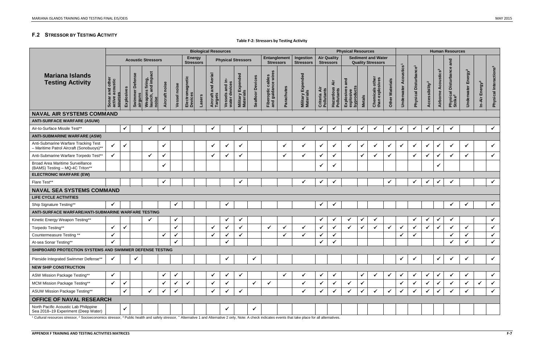### <span id="page-10-1"></span><span id="page-10-0"></span>**F.2 STRESSOR BY TESTING ACTIVITY**

#### **Table F-2: Stressors by Testing Activity**

|                                                                                  |                                               |              |                            |                                                |                |              |                                   | <b>Biological Resources</b> |                                             |                                            |                                                     |                            |                                         |              |                                    |                                        |                                | <b>Physical Resources</b>                    |               |                                                       |                        |                                      |                                   |                            |                                    | <b>Human Resources</b>                      |                                |                            |                                    |
|----------------------------------------------------------------------------------|-----------------------------------------------|--------------|----------------------------|------------------------------------------------|----------------|--------------|-----------------------------------|-----------------------------|---------------------------------------------|--------------------------------------------|-----------------------------------------------------|----------------------------|-----------------------------------------|--------------|------------------------------------|----------------------------------------|--------------------------------|----------------------------------------------|---------------|-------------------------------------------------------|------------------------|--------------------------------------|-----------------------------------|----------------------------|------------------------------------|---------------------------------------------|--------------------------------|----------------------------|------------------------------------|
|                                                                                  |                                               |              |                            | <b>Acoustic Stressors</b>                      |                |              | <b>Energy</b><br><b>Stressors</b> |                             |                                             |                                            | <b>Physical Stressors</b>                           |                            | <b>Entanglement</b><br><b>Stressors</b> |              | Ingestion<br><b>Stressors</b>      | <b>Air Quality</b><br><b>Stressors</b> |                                |                                              |               | <b>Sediment and Water</b><br><b>Quality Stressors</b> |                        |                                      |                                   |                            |                                    | and                                         |                                |                            |                                    |
| <b>Mariana Islands</b><br><b>Testing Activity</b>                                | Sonar and other<br>active acoustic<br>sources | Explosives   | Swimmer Defense<br>airguns | Weapons firing,<br>launch, and impact<br>noise | Aircraft noise | Vessel noise | Electromagnetic<br>Devices        | Lasers                      | <b>Aerial</b><br>and<br>Aircraft<br>Targets | and in-<br>Vessels and in<br>water devices | Expended<br>Military E <sub>&gt;</sub><br>Materials | <b>Devices</b><br>Seafloor | Fiberoptic cables<br>and guidance wires | Parachutes   | ಾ<br>Military Expende<br>Materials | Criteria Air<br>Pollutants             | Äir<br>Hazardous<br>Pollutants | and<br>Explosives<br>explosive<br>byproducts | <b>Metals</b> | Chemicals other<br>than explosives                    | <b>Other Materials</b> | Acoustics <sup>1</sup><br>Underwater | Physical Disturbance <sup>1</sup> | Accessibility <sup>2</sup> | Acoustics <sup>2</sup><br>Airborne | Physical Disturbance<br>Strike <sup>2</sup> | Underwater Energy <sup>3</sup> | In-Air Energy <sup>3</sup> | Physical Interactions <sup>3</sup> |
| <b>NAVAL AIR SYSTEMS COMMAND</b>                                                 |                                               |              |                            |                                                |                |              |                                   |                             |                                             |                                            |                                                     |                            |                                         |              |                                    |                                        |                                |                                              |               |                                                       |                        |                                      |                                   |                            |                                    |                                             |                                |                            |                                    |
| <b>ANTI-SURFACE WARFARE (ASUW)</b>                                               |                                               |              |                            |                                                |                |              |                                   |                             |                                             |                                            |                                                     |                            |                                         |              |                                    |                                        |                                |                                              |               |                                                       |                        |                                      |                                   |                            |                                    |                                             |                                |                            |                                    |
| Air-to-Surface Missile Test**                                                    |                                               | $\checkmark$ |                            | ✔                                              | ✔              |              |                                   |                             | ✓                                           |                                            | $\checkmark$                                        |                            |                                         |              | ✓                                  | $\checkmark$                           | ✔                              | √                                            | $\checkmark$  | $\checkmark$                                          | $\checkmark$           | $\checkmark$                         | $\checkmark$                      | $\checkmark$               | $\checkmark$                       | √                                           |                                |                            | $\checkmark$                       |
| <b>ANTI-SUBMARINE WARFARE (ASW)</b>                                              |                                               |              |                            |                                                |                |              |                                   |                             |                                             |                                            |                                                     |                            |                                         |              |                                    |                                        |                                |                                              |               |                                                       |                        |                                      |                                   |                            |                                    |                                             |                                |                            |                                    |
| Anti-Submarine Warfare Tracking Test<br>- Maritime Patrol Aircraft (Sonobuoys)** | $\checkmark$                                  | $\checkmark$ |                            |                                                | $\checkmark$   |              |                                   |                             | $\checkmark$                                | $\checkmark$                               | $\checkmark$                                        |                            |                                         | $\checkmark$ | $\checkmark$                       | $\checkmark$                           | $\checkmark$                   | $\checkmark$                                 | $\checkmark$  | $\checkmark$                                          | $\checkmark$           | $\checkmark$                         | $\checkmark$                      | $\checkmark$               | $\checkmark$                       | $\checkmark$                                | $\checkmark$                   |                            | $\checkmark$                       |
| Anti-Submarine Warfare Torpedo Test**                                            | $\checkmark$                                  |              |                            | $\checkmark$                                   | $\checkmark$   |              |                                   |                             | $\checkmark$                                | √                                          | $\checkmark$                                        |                            |                                         | $\checkmark$ | ✓                                  | $\checkmark$                           | $\checkmark$                   |                                              | ✓             | $\checkmark$                                          | $\checkmark$           |                                      | $\checkmark$                      | $\checkmark$               | $\checkmark$                       | $\checkmark$                                | $\checkmark$                   |                            | $\checkmark$                       |
| <b>Broad Area Maritime Surveillance</b><br>(BAMS) Testing - MQ-4C Triton**       |                                               |              |                            |                                                | $\checkmark$   |              |                                   |                             |                                             |                                            |                                                     |                            |                                         |              |                                    | $\checkmark$                           | √                              |                                              |               |                                                       |                        |                                      |                                   |                            | $\checkmark$                       |                                             |                                |                            |                                    |
| <b>ELECTRONIC WARFARE (EW)</b>                                                   |                                               |              |                            |                                                |                |              |                                   |                             |                                             |                                            |                                                     |                            |                                         |              |                                    |                                        |                                |                                              |               |                                                       |                        |                                      |                                   |                            |                                    |                                             |                                |                            |                                    |
| Flare Test**                                                                     |                                               |              |                            |                                                | ✓              |              |                                   |                             |                                             |                                            | $\checkmark$                                        |                            |                                         |              | ✓                                  | $\checkmark$                           | $\checkmark$                   |                                              |               |                                                       | $\checkmark$           |                                      | $\checkmark$                      | $\checkmark$               | $\checkmark$                       | $\checkmark$                                |                                |                            | $\checkmark$                       |
| <b>NAVAL SEA SYSTEMS COMMAND</b>                                                 |                                               |              |                            |                                                |                |              |                                   |                             |                                             |                                            |                                                     |                            |                                         |              |                                    |                                        |                                |                                              |               |                                                       |                        |                                      |                                   |                            |                                    |                                             |                                |                            |                                    |
| LIFE CYCLE ACTIVITIES                                                            |                                               |              |                            |                                                |                |              |                                   |                             |                                             |                                            |                                                     |                            |                                         |              |                                    |                                        |                                |                                              |               |                                                       |                        |                                      |                                   |                            |                                    |                                             |                                |                            |                                    |
| Ship Signature Testing**                                                         | $\checkmark$                                  |              |                            |                                                |                | $\checkmark$ |                                   |                             |                                             | $\checkmark$                               |                                                     |                            |                                         |              |                                    | $\checkmark$                           | ✔                              |                                              |               |                                                       |                        |                                      |                                   |                            |                                    | $\checkmark$                                | $\checkmark$                   |                            | $\checkmark$                       |
| ANTI-SURFACE WARFARE/ANTI-SUBMARINE WARFARE TESTING                              |                                               |              |                            |                                                |                |              |                                   |                             |                                             |                                            |                                                     |                            |                                         |              |                                    |                                        |                                |                                              |               |                                                       |                        |                                      |                                   |                            |                                    |                                             |                                |                            |                                    |
| Kinetic Energy Weapon Testing**                                                  |                                               |              |                            | $\checkmark$                                   |                | $\checkmark$ |                                   |                             |                                             | √                                          | $\checkmark$                                        |                            |                                         |              |                                    | $\checkmark$                           | ✔                              |                                              | ✔             |                                                       |                        |                                      | $\checkmark$                      | ✔                          | $\checkmark$                       | $\checkmark$                                |                                |                            | $\checkmark$                       |
| Torpedo Testing**                                                                | $\checkmark$                                  | ✓            |                            |                                                |                | $\checkmark$ |                                   |                             | $\checkmark$                                | $\checkmark$                               | $\checkmark$                                        |                            | $\checkmark$                            | $\checkmark$ | ✔                                  | $\checkmark$                           | $\checkmark$                   |                                              | $\checkmark$  | $\checkmark$                                          | $\checkmark$           | $\checkmark$                         | $\checkmark$                      | $\checkmark$               | $\checkmark$                       | $\checkmark$                                | $\checkmark$                   |                            | $\checkmark$                       |
| Countermeasure Testing **                                                        | $\checkmark$                                  |              |                            |                                                | ✓              | ✓            |                                   |                             | $\checkmark$                                | V                                          |                                                     |                            |                                         | $\checkmark$ |                                    | ✓                                      |                                |                                              |               |                                                       |                        |                                      |                                   |                            |                                    |                                             |                                |                            | $\checkmark$                       |
| At-sea Sonar Testing**                                                           | $\checkmark$                                  |              |                            |                                                |                | $\checkmark$ |                                   |                             |                                             | $\checkmark$                               |                                                     |                            |                                         |              |                                    | $\checkmark$                           | $\checkmark$                   |                                              |               |                                                       |                        |                                      |                                   |                            |                                    |                                             |                                |                            | $\checkmark$                       |
| SHIPBOARD PROTECTION SYSTEMS AND SWIMMER DEFENSE TESTING                         |                                               |              |                            |                                                |                |              |                                   |                             |                                             |                                            |                                                     |                            |                                         |              |                                    |                                        |                                |                                              |               |                                                       |                        |                                      |                                   |                            |                                    |                                             |                                |                            |                                    |
| Pierside Integrated Swimmer Defense**                                            | $\checkmark$                                  |              | $\checkmark$               |                                                |                |              |                                   |                             |                                             | $\checkmark$                               |                                                     | $\checkmark$               |                                         |              |                                    |                                        |                                |                                              |               |                                                       |                        | $\checkmark$                         | $\checkmark$                      |                            | $\checkmark$                       | $\checkmark$                                | $\checkmark$                   |                            | $\sqrt{2}$                         |
| <b>NEW SHIP CONSTRUCTION</b>                                                     |                                               |              |                            |                                                |                |              |                                   |                             |                                             |                                            |                                                     |                            |                                         |              |                                    |                                        |                                |                                              |               |                                                       |                        |                                      |                                   |                            |                                    |                                             |                                |                            |                                    |
| ASW Mission Package Testing**                                                    | $\checkmark$                                  |              |                            |                                                | $\checkmark$   | $\checkmark$ |                                   |                             | $\checkmark$                                | $\checkmark$                               | $\checkmark$                                        |                            |                                         | $\checkmark$ | $\checkmark$                       | $\checkmark$                           | $\checkmark$                   |                                              | ✓             | $\checkmark$                                          | $\checkmark$           | $\checkmark$                         | $\checkmark$                      | $\checkmark$               | $\checkmark$                       | $\checkmark$                                | $\checkmark$                   |                            | $\checkmark$                       |
| MCM Mission Package Testing**                                                    | $\checkmark$                                  | $\checkmark$ |                            |                                                | $\checkmark$   |              |                                   |                             | $\checkmark$                                | $\checkmark$                               |                                                     |                            | $\checkmark$                            |              | ✓                                  | $\checkmark$                           | $\checkmark$                   |                                              | $\checkmark$  |                                                       |                        |                                      |                                   |                            | $\checkmark$                       |                                             |                                |                            | $\checkmark$                       |
| <b>ASUW Mission Package Testing**</b>                                            |                                               | $\checkmark$ |                            | $\checkmark$                                   | $\checkmark$   | $\checkmark$ |                                   |                             | $\checkmark$                                | $\checkmark$                               | $\checkmark$                                        |                            |                                         |              | ✓                                  | $\checkmark$                           | $\checkmark$                   |                                              | ✓             | $\checkmark$                                          | $\checkmark$           | $\checkmark$                         |                                   | $\checkmark$               | $\checkmark$                       | $\checkmark$                                | $\checkmark$                   |                            | $\checkmark$                       |
| OFFICE OF NAVAL RESEARCH                                                         |                                               |              |                            |                                                |                |              |                                   |                             |                                             |                                            |                                                     |                            |                                         |              |                                    |                                        |                                |                                              |               |                                                       |                        |                                      |                                   |                            |                                    |                                             |                                |                            |                                    |
| North Pacific Acoustic Lab Philippine<br>Sea 2018-19 Experiment (Deep Water)     |                                               | $\checkmark$ |                            |                                                |                |              |                                   |                             |                                             | $\checkmark$                               |                                                     | $\checkmark$               |                                         |              |                                    |                                        |                                |                                              |               |                                                       |                        |                                      |                                   |                            |                                    |                                             |                                |                            |                                    |

<sup>1</sup> Cultural resources stressor, <sup>2</sup> Socioeconomics stressor, <sup>3</sup> Public health and safety stressor, " Alternative 1 and Alternative 2 only, Note: A check indicates events that take place for all alternatives.